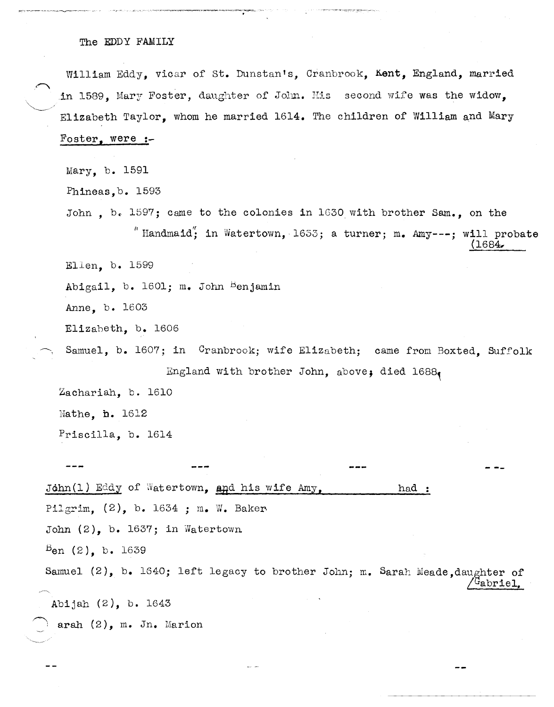## The EDDY FAMILY

--,~---~.."..~ .. ~. ~~~-.. ".,--~~-~~" -,,-- .

William Eddy, vicar of st. Dunstan's, Cranbrook, Kent, England, married in 1589, Mary Foster, daughter of John. His second wife was the widow. Elizabeth Taylor, whom he married 1614. The children of William and Mary Foster, were **:-**

Mary, b. 1591

Phineas,b. 1593

John, b. 1597; came to the colonies in 1630 with brother Sam., on the " Handmaid"; in Watertown, 1633; a turner; m. Amy---; will probate (1684,

Ellen, b. 1599

Abigail, b. 1601; m. John Benjamin

Anne, b. 1603

Elizaheth, b. 1606

Samuel, b. 1607; in Cranbrook; wife Elizabeth; came from Boxted, Suffolk England with brother John, above, died  $1688$ 

Zachariah, b. 1610

Hathe, **h.** 1612

Priscilla, b. 1614

John(1) Eddy of Watertown, and his wife Amy, had : Pilgrim,  $(2)$ , b. 1634 ; m. W. Baker John  $(2)$ , b. 1637; in Watertown  $B_{en}$  (2), b. 1639 Samuel  $(2)$ , b. 1640; left legacy to brother John; m. Sarah Meade,daughter of  $^{\mathrm{i}}$ abriel Abijah (2), b. 1643  $~\text{arah}~(2)$ , m. Jn. Marion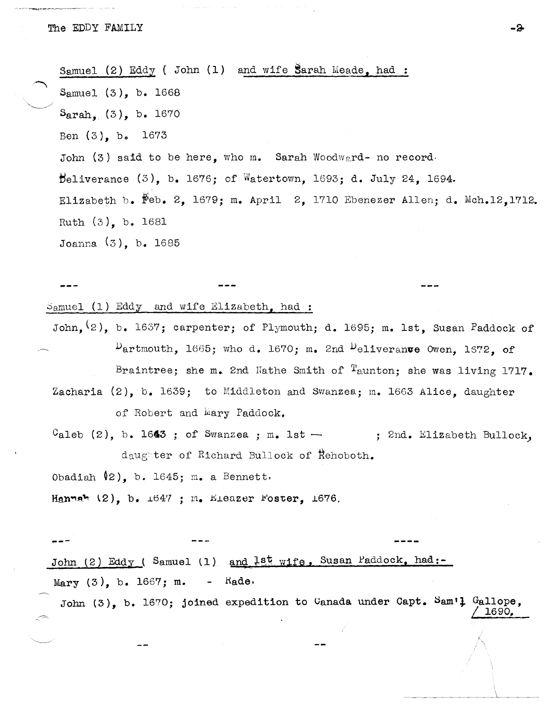.~

 $\smile$   $\smile$ Samuel (2) Eddy ( John (1) and wife Sarah Meade. had : Samuel (3), b. 1668  $S<sub>arah.</sub> (3), b. 1670$ Ben (3), bo 1673 John  $(3)$  said to be here, who m. Sarah Woodward- no record.  $\theta$ eliverance (3), b. 1676; of Watertown, 1693; d. July 24, 1694. Elizabeth b. Feb. 2, 1679; m. April 2, 1710 Ebenezer Allen; d. Mch.12, 1712. Ruth (3), b. 1681 Joanna (3), b. 1685

 $S$ amuel (1) Eddy and wife Elizabeth, had:

John,  $(2)$ , b. 1637; carpenter; of Plymouth; d. 1695; m. 1st. Susan Paddock of  $D$ artmouth, 1665; who d. 1670; m. 2nd  $D$ eliveranve Owen, 1672, of Braintree; she m. 2nd Nathe Smith of  $^{\text{T}}$ aunton; she was living 1717. Zacharia (2), b. 1639; to Middleton and Swanzea; m. 1663 Alice, daughter of Robert and Wary Paddock.

 $C_{\text{aleb}}$  (2), b. 1643 ; of Swanzea ; m. 1st  $\leftarrow$  ; 2nd. Elizabeth Bullock, daugter of Richard Bullock of Rehoboth.

Obadiah 02), b. 1645; m. a Bennett,

Hannah  $(2)$ , b.  $\pm 647$  ;  $n_e$  Eleazer Foster,  $\pm 676$ .

**---** John (2) Eddy ( Samuel (1) and <sup>lst</sup> wife, Susan Paddock, had:-Mary (3), b. 1667; m. - Kade.

John  $(3)$ , b. 1670; joined expedition to Canada under Capt. Sam<sup>t</sup>l Gallope,  $/1690$ .

**-a.**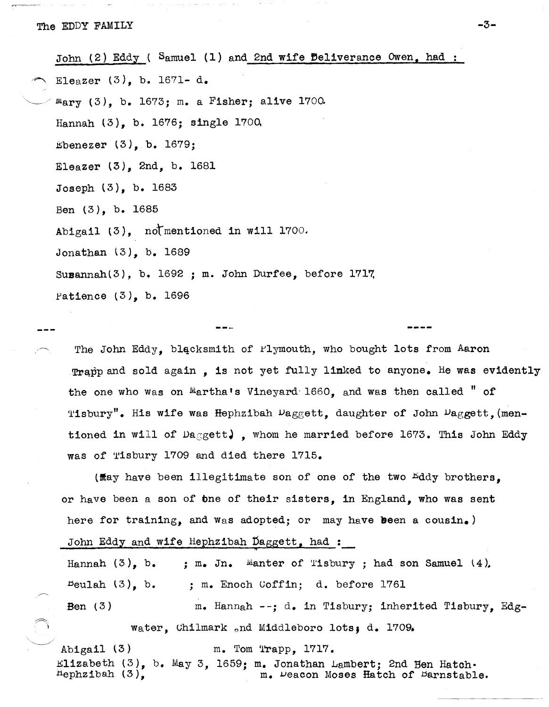John  $(2)$  Eddy ( Samuel  $(1)$  and 2nd wife Beliverance Owen, had :

Eleazer  $(3)$ , b. 1671- d.

 $m_{\text{Bry}}$  (3), b. 1673; m. a Fisher; alive 1700.

Hannah (3), b. 1676; single l70Q

 $Ebenezer (3)$ , b. 1679;

Eleazer (3), 2nd, b. 1681

Joseph (3), b. 1683

Ben (3), b. 1685

Abigail (3), notmentioned in will 1700.

Jonathan (3), b. 1689

Susannah(3), b. 1692 ; m. John Durfee, before 1717,

patience (3), b. 1696

The John Eddy, blacksmith of Plymouth, who bought lots from Aaron Trapp and sold again, is not yet fully linked to anyone. He was evidently the one who was on Martha's Vineyard 1660, and was then called " of Tisbury". His wife was Hephzibah  $\mathcal{L}_{\text{aggett}}$ , daughter of John  $\mathcal{L}_{\text{aggett}}$  (mentioned in will of  $\text{Da}_{\text{g}}$ gett), whom he married before 1673. This John Eddy was of Tisbury 1709 and died there 1715.

( $\texttt{May}$  have been illegitimate son of one of the two  $\texttt{Eddy}$  brothers. or have been a son of the of their sisters, in England, who was sent here for training, and was adopted; or may have been a cousin.)

John Eddy and wife Hephzibah Daggett, had :

Hannah  $(3)$ , b.  $Be$ ulah  $(3)$ , b. Ben (3) ; m. Jn. Manter of Tisbury ; had son Samuel (4). ; m. Enoch Goffin; d. before 1761 m. Hannah --; d. in Tisbury; inherited Tisbury, Edgwater, Chilmark and Middleboro lots; d. 1709.

Abigail (3) m. Tom Trapp, 1717. Elizabeth (3), b. May 3, 1659; m. Jonathan Lambert; 2nd Ben Hatch.<br>Hephzibah (3), m. Peacon Moses Hatch of Barnstabl m. Deacon Moses Hatch of Darnstable.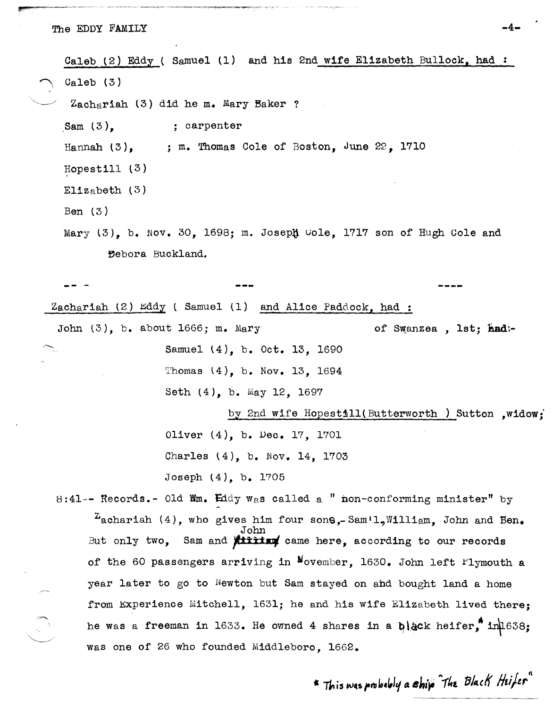The EDDY FAMILY **-4-**

Caleb (2) Eddy ( Samuel (1) and his 2nd wife Elizabeth Bullock, had:  $Ca1eb$  (3)  $Zachq$ riah (3) did he m. Mary Baker ? Sam  $(3)$ . Hannah  $(3)$ , Hopestill (3)  $E11z<sub>a</sub>$ beth (3) Ben (3) ; carpenter ; m. Thomas Cole of Boston, June 22, 1710 Mary (3), b. Nov. 30, 1698; m. Joseph Cole, 1717 son of Hugh Cole and Bebora Buckland. Zachariah (2)  $\texttt{Eddy}$  ( Samuel (1) and Alice Paddock, had: John (3), b. about 1666; m. Mary Samuel (4), b. Oct. 13, 1690 Thomas (4), b. Nov. 13, 1694 Seth (4), b. May 12, 1697 of Swanzea, 1st; had:by 2nd wife Hopestill(Butterworth ) Sutton , widow; Oliver (4), b. Dec. 17, 1701 Charles (4), b. Nov. 14, 1703 Joseph (4), b. 1705 8:41-- Records.- Old Wm. Eddy was called a " non-conforming minister" by  $^{2}$ achariah (4), who gives him four sons,-Sam'l, William. John and Ben. John But only two, Sam and **fititing** came here, according to our records of the 60 passengers arriving in  $N$ ovember, 1630. John left  $r1$ ymouth a year later to go to Newton but Sam stayed on ahd bought land a home from Experience Mitchell, 1631; he and his wife Elizabeth lived there: he was a freeman in 1633. He owned 4 shares in a  $\mu$  ack heifer, in  $1638$ ; was one of 26 who founded Middleboro, 1662.

\* This was probably a ship The Black Heifer"